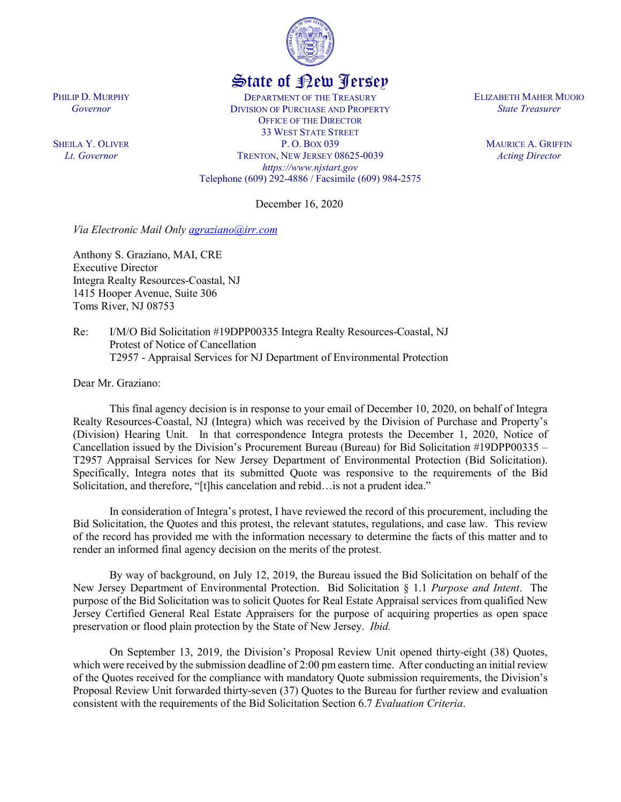

## State of New Jersey

DEPARTMENT OF THE TREASURY DIVISION OF PURCHASE AND PROPERTY OFFICE OF THE DIRECTOR 33 WEST STATE STREET P. O. BOX 039 TRENTON, NEW JERSEY 08625-0039 *https://www.njstart.gov* Telephone (609) 292-4886 / Facsimile (609) 984-2575

December 16, 2020

*Via Electronic Mail Only [agraziano@irr.com](mailto:agraziano@irr.com)*

Anthony S. Graziano, MAI, CRE Executive Director Integra Realty Resources-Coastal, NJ 1415 Hooper Avenue, Suite 306 Toms River, NJ 08753

Re: I/M/O Bid Solicitation #19DPP00335 Integra Realty Resources-Coastal, NJ Protest of Notice of Cancellation T2957 - Appraisal Services for NJ Department of Environmental Protection

Dear Mr. Graziano:

This final agency decision is in response to your email of December 10, 2020, on behalf of Integra Realty Resources-Coastal, NJ (Integra) which was received by the Division of Purchase and Property's (Division) Hearing Unit. In that correspondence Integra protests the December 1, 2020, Notice of Cancellation issued by the Division's Procurement Bureau (Bureau) for Bid Solicitation #19DPP00335 – T2957 Appraisal Services for New Jersey Department of Environmental Protection (Bid Solicitation). Specifically, Integra notes that its submitted Quote was responsive to the requirements of the Bid Solicitation, and therefore, "[t]his cancelation and rebid…is not a prudent idea."

In consideration of Integra's protest, I have reviewed the record of this procurement, including the Bid Solicitation, the Quotes and this protest, the relevant statutes, regulations, and case law. This review of the record has provided me with the information necessary to determine the facts of this matter and to render an informed final agency decision on the merits of the protest.

By way of background, on July 12, 2019, the Bureau issued the Bid Solicitation on behalf of the New Jersey Department of Environmental Protection. Bid Solicitation § 1.1 *Purpose and Intent*. The purpose of the Bid Solicitation was to solicit Quotes for Real Estate Appraisal services from qualified New Jersey Certified General Real Estate Appraisers for the purpose of acquiring properties as open space preservation or flood plain protection by the State of New Jersey. *Ibid.*

On September 13, 2019, the Division's Proposal Review Unit opened thirty-eight (38) Quotes, which were received by the submission deadline of 2:00 pm eastern time. After conducting an initial review of the Quotes received for the compliance with mandatory Quote submission requirements, the Division's Proposal Review Unit forwarded thirty-seven (37) Quotes to the Bureau for further review and evaluation consistent with the requirements of the Bid Solicitation Section 6.7 *Evaluation Criteria*.

ELIZABETH MAHER MUOIO *State Treasurer*

> MAURICE A. GRIFFIN *Acting Director*

PHILIP D. MURPHY *Governor*

SHEILA Y. OLIVER *Lt. Governor*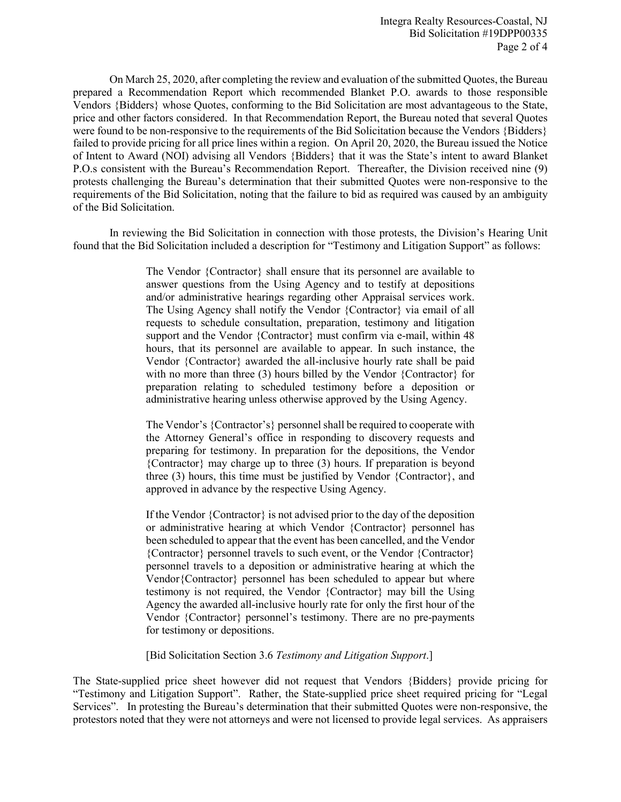On March 25, 2020, after completing the review and evaluation of the submitted Quotes, the Bureau prepared a Recommendation Report which recommended Blanket P.O. awards to those responsible Vendors {Bidders} whose Quotes, conforming to the Bid Solicitation are most advantageous to the State, price and other factors considered. In that Recommendation Report, the Bureau noted that several Quotes were found to be non-responsive to the requirements of the Bid Solicitation because the Vendors {Bidders} failed to provide pricing for all price lines within a region. On April 20, 2020, the Bureau issued the Notice of Intent to Award (NOI) advising all Vendors {Bidders} that it was the State's intent to award Blanket P.O.s consistent with the Bureau's Recommendation Report. Thereafter, the Division received nine (9) protests challenging the Bureau's determination that their submitted Quotes were non-responsive to the requirements of the Bid Solicitation, noting that the failure to bid as required was caused by an ambiguity of the Bid Solicitation.

In reviewing the Bid Solicitation in connection with those protests, the Division's Hearing Unit found that the Bid Solicitation included a description for "Testimony and Litigation Support" as follows:

> The Vendor {Contractor} shall ensure that its personnel are available to answer questions from the Using Agency and to testify at depositions and/or administrative hearings regarding other Appraisal services work. The Using Agency shall notify the Vendor {Contractor} via email of all requests to schedule consultation, preparation, testimony and litigation support and the Vendor {Contractor} must confirm via e-mail, within 48 hours, that its personnel are available to appear. In such instance, the Vendor {Contractor} awarded the all-inclusive hourly rate shall be paid with no more than three (3) hours billed by the Vendor {Contractor} for preparation relating to scheduled testimony before a deposition or administrative hearing unless otherwise approved by the Using Agency.

> The Vendor's {Contractor's} personnel shall be required to cooperate with the Attorney General's office in responding to discovery requests and preparing for testimony. In preparation for the depositions, the Vendor {Contractor} may charge up to three (3) hours. If preparation is beyond three (3) hours, this time must be justified by Vendor {Contractor}, and approved in advance by the respective Using Agency.

> If the Vendor {Contractor} is not advised prior to the day of the deposition or administrative hearing at which Vendor {Contractor} personnel has been scheduled to appear that the event has been cancelled, and the Vendor {Contractor} personnel travels to such event, or the Vendor {Contractor} personnel travels to a deposition or administrative hearing at which the Vendor{Contractor} personnel has been scheduled to appear but where testimony is not required, the Vendor {Contractor} may bill the Using Agency the awarded all-inclusive hourly rate for only the first hour of the Vendor {Contractor} personnel's testimony. There are no pre-payments for testimony or depositions.

[Bid Solicitation Section 3.6 *Testimony and Litigation Support*.]

The State-supplied price sheet however did not request that Vendors {Bidders} provide pricing for "Testimony and Litigation Support". Rather, the State-supplied price sheet required pricing for "Legal Services". In protesting the Bureau's determination that their submitted Quotes were non-responsive, the protestors noted that they were not attorneys and were not licensed to provide legal services. As appraisers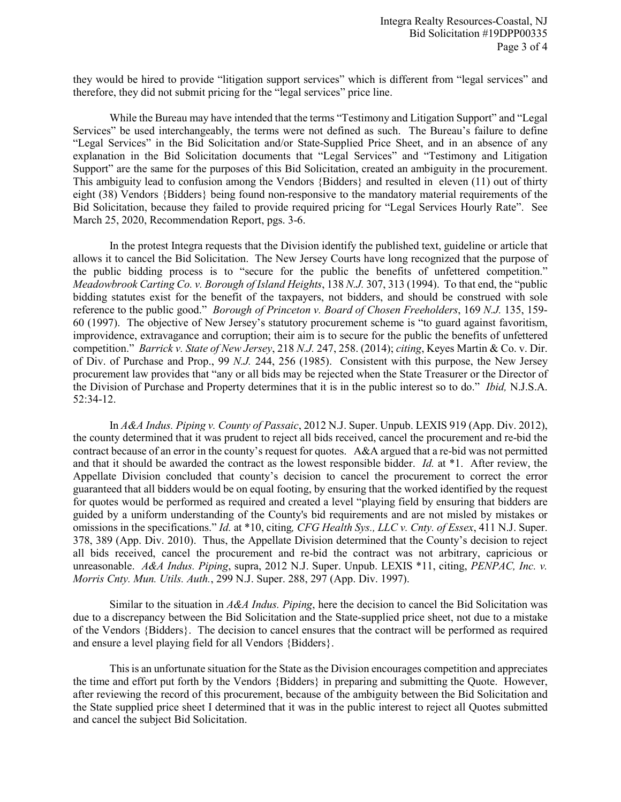they would be hired to provide "litigation support services" which is different from "legal services" and therefore, they did not submit pricing for the "legal services" price line.

While the Bureau may have intended that the terms "Testimony and Litigation Support" and "Legal Services" be used interchangeably, the terms were not defined as such. The Bureau's failure to define "Legal Services" in the Bid Solicitation and/or State-Supplied Price Sheet, and in an absence of any explanation in the Bid Solicitation documents that "Legal Services" and "Testimony and Litigation Support" are the same for the purposes of this Bid Solicitation, created an ambiguity in the procurement. This ambiguity lead to confusion among the Vendors {Bidders} and resulted in eleven (11) out of thirty eight (38) Vendors {Bidders} being found non-responsive to the mandatory material requirements of the Bid Solicitation, because they failed to provide required pricing for "Legal Services Hourly Rate". See March 25, 2020, Recommendation Report, pgs. 3-6.

In the protest Integra requests that the Division identify the published text, guideline or article that allows it to cancel the Bid Solicitation. The New Jersey Courts have long recognized that the purpose of the public bidding process is to "secure for the public the benefits of unfettered competition." *Meadowbrook Carting Co. v. Borough of Island Heights*, 138 *N.J.* 307, 313 (1994). To that end, the "public bidding statutes exist for the benefit of the taxpayers, not bidders, and should be construed with sole reference to the public good." *Borough of Princeton v. Board of Chosen Freeholders*, 169 *N.J.* 135, 159- 60 (1997). The objective of New Jersey's statutory procurement scheme is "to guard against favoritism, improvidence, extravagance and corruption; their aim is to secure for the public the benefits of unfettered competition." *Barrick v. State of New Jersey*, 218 *N.J.* 247, 258. (2014); *citing*, Keyes Martin & Co. v. Dir. of Div. of Purchase and Prop., 99 *N.J.* 244, 256 (1985). Consistent with this purpose, the New Jersey procurement law provides that "any or all bids may be rejected when the State Treasurer or the Director of the Division of Purchase and Property determines that it is in the public interest so to do." *Ibid,* N.J.S.A. 52:34-12.

In *A&A Indus. Piping v. County of Passaic*, 2012 N.J. Super. Unpub. LEXIS 919 (App. Div. 2012), the county determined that it was prudent to reject all bids received, cancel the procurement and re-bid the contract because of an error in the county's request for quotes. A&A argued that a re-bid was not permitted and that it should be awarded the contract as the lowest responsible bidder. *Id.* at \*1. After review, the Appellate Division concluded that county's decision to cancel the procurement to correct the error guaranteed that all bidders would be on equal footing, by ensuring that the worked identified by the request for quotes would be performed as required and created a level "playing field by ensuring that bidders are guided by a uniform understanding of the County's bid requirements and are not misled by mistakes or omissions in the specifications." *Id.* at \*10, citing*, CFG Health Sys., LLC v. Cnty. of Essex*, 411 N.J. Super. 378, 389 (App. Div. 2010). Thus, the Appellate Division determined that the County's decision to reject all bids received, cancel the procurement and re-bid the contract was not arbitrary, capricious or unreasonable. *A&A Indus. Piping*, supra, 2012 N.J. Super. Unpub. LEXIS \*11, citing, *PENPAC, Inc. v. Morris Cnty. Mun. Utils. Auth.*, 299 N.J. Super. 288, 297 (App. Div. 1997).

Similar to the situation in *A&A Indus. Piping*, here the decision to cancel the Bid Solicitation was due to a discrepancy between the Bid Solicitation and the State-supplied price sheet, not due to a mistake of the Vendors {Bidders}. The decision to cancel ensures that the contract will be performed as required and ensure a level playing field for all Vendors {Bidders}.

This is an unfortunate situation for the State as the Division encourages competition and appreciates the time and effort put forth by the Vendors {Bidders} in preparing and submitting the Quote. However, after reviewing the record of this procurement, because of the ambiguity between the Bid Solicitation and the State supplied price sheet I determined that it was in the public interest to reject all Quotes submitted and cancel the subject Bid Solicitation.